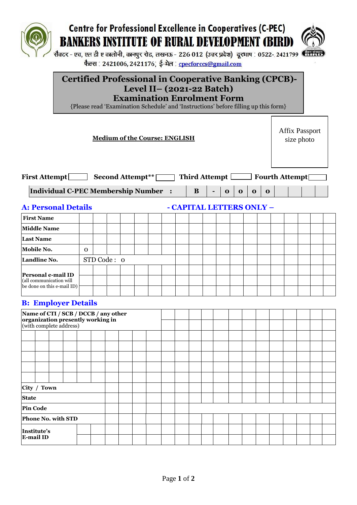

# **Centre for Professional Excellence in Cooperatives (C-PEC) BANKERS INSTITUTE OF RURAL DEVELOPMENT (BIRD)**



सैक्टर - एच, एल डी ए कालोनी, कानपुर रोड, लखनऊ - 226 012 (उत्तर प्रदेश) दूरभाष : 0522- 2421799 (सी फैक्स : 2421006, 2421176; ई-मेल : cpecforccs@gmail.com

### **Certified Professional in Cooperative Banking (CPCB)- Level II– (2021-22 Batch) Examination Enrolment Form**

{Please read 'Examination Schedule' and 'Instructions' before filling up this form}

**Medium of the Course: ENGLISH**

Affix Passport size photo

| <b>First Attempt</b><br><b>Second Attempt**</b> | Third Attempt [ |  |  |          | Fourth Attempt |  |  |
|-------------------------------------------------|-----------------|--|--|----------|----------------|--|--|
| Individual C-PEC Membership Number :            |                 |  |  | $\Omega$ |                |  |  |

**A: Personal Details - CAPITAL LETTERS ONLY –**

| <b>First Name</b>                                                                                  |             |  |  |  |  |  |  |  |  |  |  |  |
|----------------------------------------------------------------------------------------------------|-------------|--|--|--|--|--|--|--|--|--|--|--|
| <b>Middle Name</b>                                                                                 |             |  |  |  |  |  |  |  |  |  |  |  |
| <b>Last Name</b>                                                                                   |             |  |  |  |  |  |  |  |  |  |  |  |
| Mobile No.                                                                                         | $\Omega$    |  |  |  |  |  |  |  |  |  |  |  |
| Landline No.                                                                                       | STD Code: 0 |  |  |  |  |  |  |  |  |  |  |  |
| Personal e-mail ID<br>(all communication will<br>$\left  \text{be done on this e-mail ID} \right $ |             |  |  |  |  |  |  |  |  |  |  |  |

#### **B: Employer Details**

| Name of CTI / SCB / DCCB / any other<br>organization presently working in<br>(with complete address) |  |  |  |  |  |  |  |  |  |  |  |  |  |
|------------------------------------------------------------------------------------------------------|--|--|--|--|--|--|--|--|--|--|--|--|--|
|                                                                                                      |  |  |  |  |  |  |  |  |  |  |  |  |  |
|                                                                                                      |  |  |  |  |  |  |  |  |  |  |  |  |  |
|                                                                                                      |  |  |  |  |  |  |  |  |  |  |  |  |  |
|                                                                                                      |  |  |  |  |  |  |  |  |  |  |  |  |  |
|                                                                                                      |  |  |  |  |  |  |  |  |  |  |  |  |  |
|                                                                                                      |  |  |  |  |  |  |  |  |  |  |  |  |  |
| City / Town                                                                                          |  |  |  |  |  |  |  |  |  |  |  |  |  |
| <b>State</b>                                                                                         |  |  |  |  |  |  |  |  |  |  |  |  |  |
| <b>Pin Code</b>                                                                                      |  |  |  |  |  |  |  |  |  |  |  |  |  |
| Phone No. with STD                                                                                   |  |  |  |  |  |  |  |  |  |  |  |  |  |
| Institute's                                                                                          |  |  |  |  |  |  |  |  |  |  |  |  |  |
| <b>E-mail ID</b>                                                                                     |  |  |  |  |  |  |  |  |  |  |  |  |  |